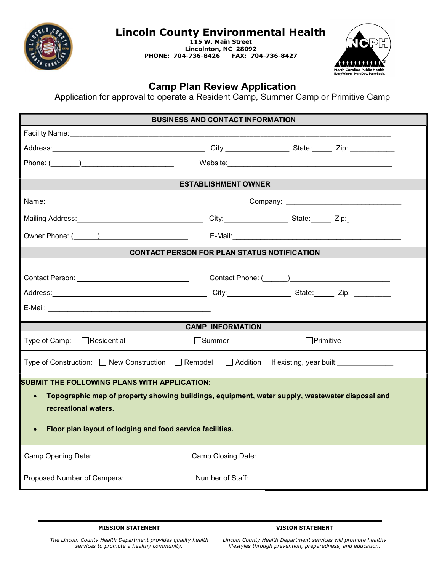

## Lincoln County Environmental Health

115 W. Main Street Lincolnton, NC 28092 PHONE: 704-736-8426 FAX: 704-736-8427



## Camp Plan Review Application

Application for approval to operate a Resident Camp, Summer Camp or Primitive Camp

|                                                                                                                                                                                                                                                          | <b>BUSINESS AND CONTACT INFORMATION</b>            |                  |  |
|----------------------------------------------------------------------------------------------------------------------------------------------------------------------------------------------------------------------------------------------------------|----------------------------------------------------|------------------|--|
|                                                                                                                                                                                                                                                          |                                                    |                  |  |
|                                                                                                                                                                                                                                                          |                                                    |                  |  |
|                                                                                                                                                                                                                                                          |                                                    |                  |  |
|                                                                                                                                                                                                                                                          | <b>ESTABLISHMENT OWNER</b>                         |                  |  |
|                                                                                                                                                                                                                                                          |                                                    |                  |  |
|                                                                                                                                                                                                                                                          |                                                    |                  |  |
|                                                                                                                                                                                                                                                          |                                                    |                  |  |
|                                                                                                                                                                                                                                                          | <b>CONTACT PERSON FOR PLAN STATUS NOTIFICATION</b> |                  |  |
|                                                                                                                                                                                                                                                          |                                                    |                  |  |
|                                                                                                                                                                                                                                                          | <b>CAMP INFORMATION</b>                            |                  |  |
| Type of Camp: □ Residential                                                                                                                                                                                                                              | $\Box$ Summer                                      | $\Box$ Primitive |  |
| Type of Construction: □ New Construction □ Remodel □ Addition If existing, year built:                                                                                                                                                                   |                                                    |                  |  |
| <b>SUBMIT THE FOLLOWING PLANS WITH APPLICATION:</b><br>Topographic map of property showing buildings, equipment, water supply, wastewater disposal and<br>$\bullet$<br>recreational waters.<br>Floor plan layout of lodging and food service facilities. |                                                    |                  |  |
| Camp Opening Date:                                                                                                                                                                                                                                       | Camp Closing Date:                                 |                  |  |
|                                                                                                                                                                                                                                                          |                                                    |                  |  |

VISION STATEMENT

The Lincoln County Health Department provides quality health services to promote a healthy community.

Lincoln County Health Department services will promote healthy lifestyles through prevention, preparedness, and education.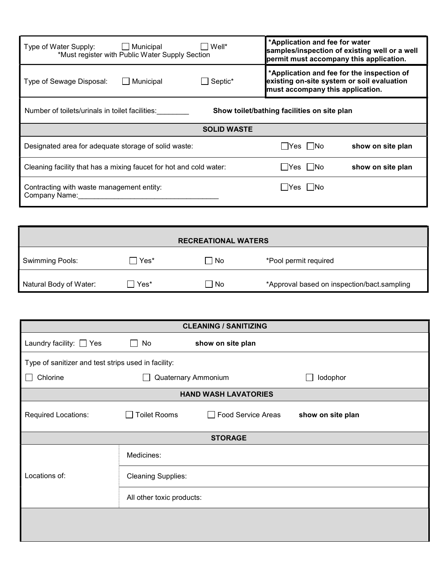| Well*<br>Type of Water Supply:<br>$\Box$ Municipal<br>*Must register with Public Water Supply Section | *Application and fee for water<br>samples/inspection of existing well or a well<br>permit must accompany this application.   |  |  |
|-------------------------------------------------------------------------------------------------------|------------------------------------------------------------------------------------------------------------------------------|--|--|
| Municipal<br>$\Box$ Septic*<br>Type of Sewage Disposal:                                               | *Application and fee for the inspection of<br>existing on-site system or soil evaluation<br>must accompany this application. |  |  |
| Number of toilets/urinals in toilet facilities:<br>Show toilet/bathing facilities on site plan        |                                                                                                                              |  |  |
| <b>SOLID WASTE</b>                                                                                    |                                                                                                                              |  |  |
| Designated area for adequate storage of solid waste:                                                  | Yes   INo<br>show on site plan                                                                                               |  |  |
| Cleaning facility that has a mixing faucet for hot and cold water:                                    | l lYes I lNo<br>show on site plan                                                                                            |  |  |
| Contracting with waste management entity:<br>Company Name:                                            | - IYes I INo                                                                                                                 |  |  |

| <b>RECREATIONAL WATERS</b> |               |           |                                             |
|----------------------------|---------------|-----------|---------------------------------------------|
| <b>Swimming Pools:</b>     | $\sqcap$ Yes* | $\Box$ No | *Pool permit required                       |
| Natural Body of Water:     | Yes*          | □ No      | *Approval based on inspection/bact.sampling |

| <b>CLEANING / SANITIZING</b> |                                                     |                           |                   |  |
|------------------------------|-----------------------------------------------------|---------------------------|-------------------|--|
| Laundry facility: $\Box$ Yes | No<br>$\mathsf{L}$                                  | show on site plan         |                   |  |
|                              | Type of sanitizer and test strips used in facility: |                           |                   |  |
| Chlorine                     |                                                     | Quaternary Ammonium       | lodophor          |  |
|                              | <b>HAND WASH LAVATORIES</b>                         |                           |                   |  |
| Required Locations:          | <b>Toilet Rooms</b>                                 | <b>Food Service Areas</b> | show on site plan |  |
|                              |                                                     | <b>STORAGE</b>            |                   |  |
|                              | Medicines:                                          |                           |                   |  |
| Locations of:                | <b>Cleaning Supplies:</b>                           |                           |                   |  |
|                              | All other toxic products:                           |                           |                   |  |
|                              |                                                     |                           |                   |  |
|                              |                                                     |                           |                   |  |